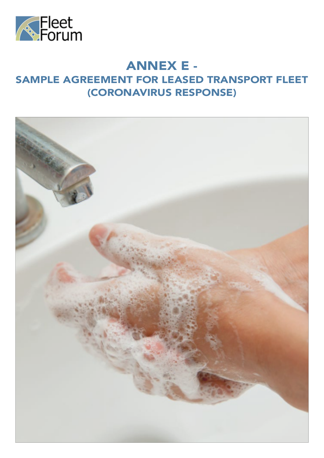

# ANNEX E -

# SAMPLE AGREEMENT FOR LEASED TRANSPORT FLEET (CORONAVIRUS RESPONSE)

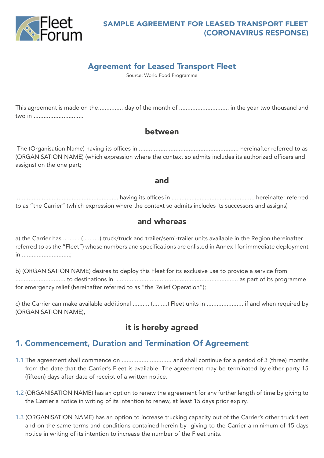

#### SAMPLE AGREEMENT FOR LEASED TRANSPORT FLEET (CORONAVIRUS RESPONSE)

### Agreement for Leased Transport Fleet

Source: World Food Programme

This agreement is made on the............... day of the month of .............................. in the year two thousand and two in ..............................

#### between

 The (Organisation Name) having its offices in ............................................................ hereinafter referred to as (ORGANISATION NAME) (which expression where the context so admits includes its authorized officers and assigns) on the one part;

#### and

 ............................................................. having its offices in .................................................. hereinafter referred to as "the Carrier" (which expression where the context so admits includes its successors and assigns)

#### and whereas

a) the Carrier has .......... (..........) truck/truck and trailer/semi-trailer units available in the Region (hereinafter referred to as the "Fleet") whose numbers and specifications are enlisted in Annex I for immediate deployment in .............................;

b) (ORGANISATION NAME) desires to deploy this Fleet for its exclusive use to provide a service from .............................. to destinations in ......................................................................... as part of its programme for emergency relief (hereinafter referred to as "the Relief Operation");

c) the Carrier can make available additional .......... (.........) Fleet units in ...................... if and when required by (ORGANISATION NAME),

### it is hereby agreed

### 1. Commencement, Duration and Termination Of Agreement

- 1.1 The agreement shall commence on .............................. and shall continue for a period of 3 (three) months from the date that the Carrier's Fleet is available. The agreement may be terminated by either party 15 (fifteen) days after date of receipt of a written notice.
- 1.2 (ORGANISATION NAME) has an option to renew the agreement for any further length of time by giving to the Carrier a notice in writing of its intention to renew, at least 15 days prior expiry.
- 1.3 (ORGANISATION NAME) has an option to increase trucking capacity out of the Carrier's other truck fleet and on the same terms and conditions contained herein by giving to the Carrier a minimum of 15 days notice in writing of its intention to increase the number of the Fleet units.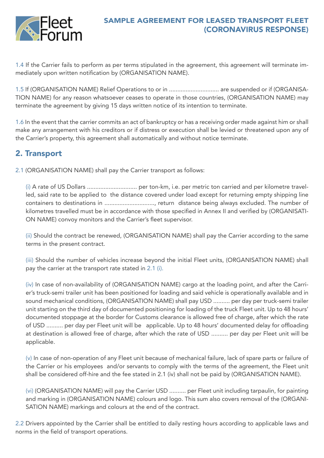

#### SAMPLE AGREEMENT FOR LEASED TRANSPORT FLEET (CORONAVIRUS RESPONSE)

1.4 If the Carrier fails to perform as per terms stipulated in the agreement, this agreement will terminate immediately upon written notification by (ORGANISATION NAME).

1.5 If (ORGANISATION NAME) Relief Operations to or in .............................. are suspended or if (ORGANISA-TION NAME) for any reason whatsoever ceases to operate in those countries, (ORGANISATION NAME) may terminate the agreement by giving 15 days written notice of its intention to terminate.

1.6 In the event that the carrier commits an act of bankruptcy or has a receiving order made against him or shall make any arrangement with his creditors or if distress or execution shall be levied or threatened upon any of the Carrier's property, this agreement shall automatically and without notice terminate.

# 2. Transport

2.1 (ORGANISATION NAME) shall pay the Carrier transport as follows:

(i) A rate of US Dollars .............................. per ton-km, i.e. per metric ton carried and per kilometre travelled, said rate to be applied to the distance covered under load except for returning empty shipping line containers to destinations in ............................., return distance being always excluded. The number of kilometres travelled must be in accordance with those specified in Annex II and verified by (ORGANISATI-ON NAME) convoy monitors and the Carrier's fleet supervisor.

(ii) Should the contract be renewed, (ORGANISATION NAME) shall pay the Carrier according to the same terms in the present contract.

(iii) Should the number of vehicles increase beyond the initial Fleet units, (ORGANISATION NAME) shall pay the carrier at the transport rate stated in 2.1 (i).

(iv) In case of non-availability of (ORGANISATION NAME) cargo at the loading point, and after the Carrier's truck-semi trailer unit has been positioned for loading and said vehicle is operationally available and in sound mechanical conditions, (ORGANISATION NAME) shall pay USD .......... per day per truck-semi trailer unit starting on the third day of documented positioning for loading of the truck Fleet unit. Up to 48 hours' documented stoppage at the border for Customs clearance is allowed free of charge, after which the rate of USD .......... per day per Fleet unit will be applicable. Up to 48 hours' documented delay for offloading at destination is allowed free of charge, after which the rate of USD .......... per day per Fleet unit will be applicable.

(v) In case of non-operation of any Fleet unit because of mechanical failure, lack of spare parts or failure of the Carrier or his employees and/or servants to comply with the terms of the agreement, the Fleet unit shall be considered off-hire and the fee stated in 2.1 (iv) shall not be paid by (ORGANISATION NAME).

(vi) (ORGANISATION NAME) will pay the Carrier USD .......... per Fleet unit including tarpaulin, for painting and marking in (ORGANISATION NAME) colours and logo. This sum also covers removal of the (ORGANI-SATION NAME) markings and colours at the end of the contract.

2.2 Drivers appointed by the Carrier shall be entitled to daily resting hours according to applicable laws and norms in the field of transport operations.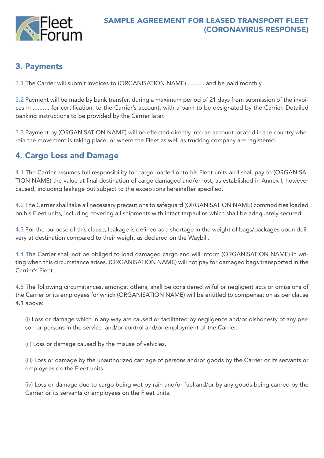

# 3. Payments

3.1 The Carrier will submit invoices to (ORGANISATION NAME) .......... and be paid monthly.

3.2 Payment will be made by bank transfer, during a maximum period of 21 days from submission of the invoices in .......... for certification, to the Carrier's account, with a bank to be designated by the Carrier. Detailed banking instructions to be provided by the Carrier later.

3.3 Payment by (ORGANISATION NAME) will be effected directly into an account located in the country wherein the movement is taking place, or where the Fleet as well as trucking company are registered.

# 4. Cargo Loss and Damage

4.1 The Carrier assumes full responsibility for cargo loaded onto his Fleet units and shall pay to (ORGANISA-TION NAME) the value at final destination of cargo damaged and/or lost, as established in Annex I, however caused, including leakage but subject to the exceptions hereinafter specified.

4.2 The Carrier shall take all necessary precautions to safeguard (ORGANISATION NAME) commodities loaded on his Fleet units, including covering all shipments with intact tarpaulins which shall be adequately secured.

4.3 For the purpose of this clause, leakage is defined as a shortage in the weight of bags/packages upon delivery at destination compared to their weight as declared on the Waybill.

4.4 The Carrier shall not be obliged to load damaged cargo and will inform (ORGANISATION NAME) in writing when this circumstance arises. (ORGANISATION NAME) will not pay for damaged bags transported in the Carrier's Fleet.

4.5 The following circumstances, amongst others, shall be considered wilful or negligent acts or omissions of the Carrier or its employees for which (ORGANISATION NAME) will be entitled to compensation as per clause 4.1 above:

(i) Loss or damage which in any way are caused or facilitated by negligence and/or dishonesty of any person or persons in the service and/or control and/or employment of the Carrier.

(ii) Loss or damage caused by the misuse of vehicles.

(iii) Loss or damage by the unauthorized carriage of persons and/or goods by the Carrier or its servants or employees on the Fleet units.

(iv) Loss or damage due to cargo being wet by rain and/or fuel and/or by any goods being carried by the Carrier or its servants or employees on the Fleet units.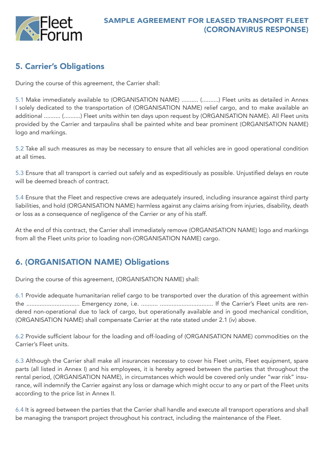

# 5. Carrier's Obligations

During the course of this agreement, the Carrier shall:

5.1 Make immediately available to (ORGANISATION NAME) .......... (..........) Fleet units as detailed in Annex I solely dedicated to the transportation of (ORGANISATION NAME) relief cargo, and to make available an additional .......... (..........) Fleet units within ten days upon request by (ORGANISATION NAME). All Fleet units provided by the Carrier and tarpaulins shall be painted white and bear prominent (ORGANISATION NAME) logo and markings.

5.2 Take all such measures as may be necessary to ensure that all vehicles are in good operational condition at all times.

5.3 Ensure that all transport is carried out safely and as expeditiously as possible. Unjustified delays en route will be deemed breach of contract.

5.4 Ensure that the Fleet and respective crews are adequately insured, including insurance against third party liabilities, and hold (ORGANISATION NAME) harmless against any claims arising from injuries, disability, death or loss as a consequence of negligence of the Carrier or any of his staff.

At the end of this contract, the Carrier shall immediately remove (ORGANISATION NAME) logo and markings from all the Fleet units prior to loading non-(ORGANISATION NAME) cargo.

# 6. (ORGANISATION NAME) Obligations

During the course of this agreement, (ORGANISATION NAME) shall:

6.1 Provide adequate humanitarian relief cargo to be transported over the duration of this agreement within the ................................ Emergency zone, i.e. .......... ................................ If the Carrier's Fleet units are rendered non-operational due to lack of cargo, but operationally available and in good mechanical condition, (ORGANISATION NAME) shall compensate Carrier at the rate stated under 2.1 (iv) above.

6.2 Provide sufficient labour for the loading and off-loading of (ORGANISATION NAME) commodities on the Carrier's Fleet units.

6.3 Although the Carrier shall make all insurances necessary to cover his Fleet units, Fleet equipment, spare parts (all listed in Annex I) and his employees, it is hereby agreed between the parties that throughout the rental period, (ORGANISATION NAME), in circumstances which would be covered only under "war risk" insurance, will indemnify the Carrier against any loss or damage which might occur to any or part of the Fleet units according to the price list in Annex II.

6.4 It is agreed between the parties that the Carrier shall handle and execute all transport operations and shall be managing the transport project throughout his contract, including the maintenance of the Fleet.